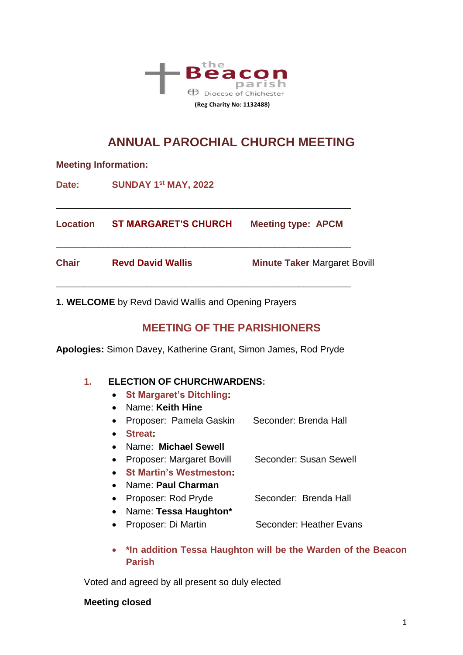

# **ANNUAL PAROCHIAL CHURCH MEETING**

| <b>Meeting Information:</b> |                             |                                     |  |
|-----------------------------|-----------------------------|-------------------------------------|--|
| Date:                       | SUNDAY 1st MAY, 2022        |                                     |  |
| <b>Location</b>             | <b>ST MARGARET'S CHURCH</b> | <b>Meeting type: APCM</b>           |  |
| <b>Chair</b>                | <b>Revd David Wallis</b>    | <b>Minute Taker Margaret Bovill</b> |  |

**1. WELCOME** by Revd David Wallis and Opening Prayers

## **MEETING OF THE PARISHIONERS**

**Apologies:** Simon Davey, Katherine Grant, Simon James, Rod Pryde

### **1. ELECTION OF CHURCHWARDENS:**

- **St Margaret's Ditchling:**
- Name: **Keith Hine**
- Proposer: Pamela Gaskin Seconder: Brenda Hall
- **Streat:**
- Name: **Michael Sewell**
- Proposer: Margaret Bovill Seconder: Susan Sewell
- **St Martin's Westmeston:**
- Name: **Paul Charman**
- Proposer: Rod Pryde Seconder: Brenda Hall
- Name: **Tessa Haughton\***
- Proposer: Di Martin Seconder: Heather Evans
- **\*In addition Tessa Haughton will be the Warden of the Beacon Parish**

Voted and agreed by all present so duly elected

#### **Meeting closed**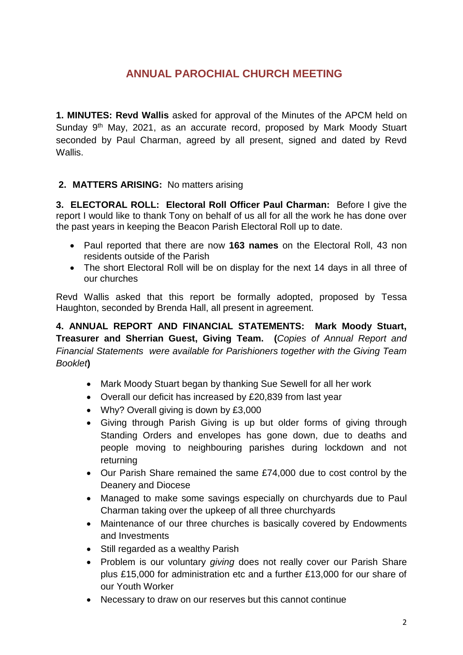# **ANNUAL PAROCHIAL CHURCH MEETING**

**1. MINUTES: Revd Wallis** asked for approval of the Minutes of the APCM held on Sunday 9<sup>th</sup> May, 2021, as an accurate record, proposed by Mark Moody Stuart seconded by Paul Charman, agreed by all present, signed and dated by Revd Wallis.

### **2. MATTERS ARISING:** No matters arising

**3. ELECTORAL ROLL: Electoral Roll Officer Paul Charman:** Before I give the report I would like to thank Tony on behalf of us all for all the work he has done over the past years in keeping the Beacon Parish Electoral Roll up to date.

- Paul reported that there are now **163 names** on the Electoral Roll, 43 non residents outside of the Parish
- The short Electoral Roll will be on display for the next 14 days in all three of our churches

Revd Wallis asked that this report be formally adopted, proposed by Tessa Haughton, seconded by Brenda Hall, all present in agreement.

**4. ANNUAL REPORT AND FINANCIAL STATEMENTS: Mark Moody Stuart, Treasurer and Sherrian Guest, Giving Team. (***Copies of Annual Report and Financial Statements were available for Parishioners together with the Giving Team Booklet***)**

- Mark Moody Stuart began by thanking Sue Sewell for all her work
- Overall our deficit has increased by £20,839 from last year
- Why? Overall giving is down by £3,000
- Giving through Parish Giving is up but older forms of giving through Standing Orders and envelopes has gone down, due to deaths and people moving to neighbouring parishes during lockdown and not returning
- Our Parish Share remained the same £74,000 due to cost control by the Deanery and Diocese
- Managed to make some savings especially on churchyards due to Paul Charman taking over the upkeep of all three churchyards
- Maintenance of our three churches is basically covered by Endowments and Investments
- Still regarded as a wealthy Parish
- Problem is our voluntary *giving* does not really cover our Parish Share plus £15,000 for administration etc and a further £13,000 for our share of our Youth Worker
- Necessary to draw on our reserves but this cannot continue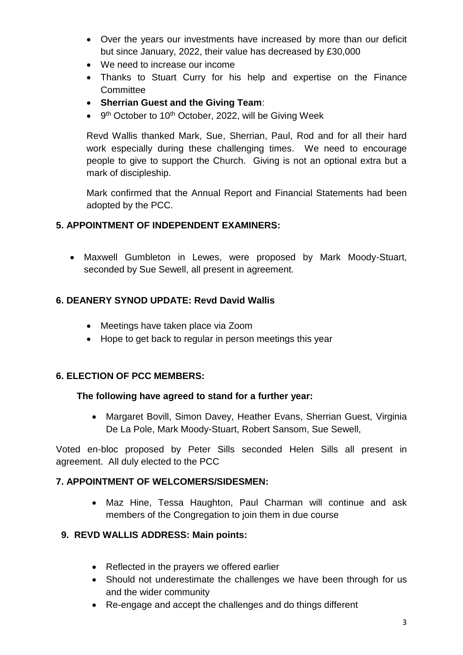- Over the years our investments have increased by more than our deficit but since January, 2022, their value has decreased by £30,000
- We need to increase our income
- Thanks to Stuart Curry for his help and expertise on the Finance **Committee**
- **Sherrian Guest and the Giving Team**:
- 9<sup>th</sup> October to 10<sup>th</sup> October, 2022, will be Giving Week

Revd Wallis thanked Mark, Sue, Sherrian, Paul, Rod and for all their hard work especially during these challenging times. We need to encourage people to give to support the Church. Giving is not an optional extra but a mark of discipleship.

Mark confirmed that the Annual Report and Financial Statements had been adopted by the PCC.

### **5. APPOINTMENT OF INDEPENDENT EXAMINERS:**

 Maxwell Gumbleton in Lewes, were proposed by Mark Moody-Stuart, seconded by Sue Sewell, all present in agreement.

### **6. DEANERY SYNOD UPDATE: Revd David Wallis**

- Meetings have taken place via Zoom
- Hope to get back to regular in person meetings this year

### **6. ELECTION OF PCC MEMBERS:**

### **The following have agreed to stand for a further year:**

 Margaret Bovill, Simon Davey, Heather Evans, Sherrian Guest, Virginia De La Pole, Mark Moody-Stuart, Robert Sansom, Sue Sewell,

Voted en-bloc proposed by Peter Sills seconded Helen Sills all present in agreement. All duly elected to the PCC

### **7. APPOINTMENT OF WELCOMERS/SIDESMEN:**

 Maz Hine, Tessa Haughton, Paul Charman will continue and ask members of the Congregation to join them in due course

### **9. REVD WALLIS ADDRESS: Main points:**

- Reflected in the prayers we offered earlier
- Should not underestimate the challenges we have been through for us and the wider community
- Re-engage and accept the challenges and do things different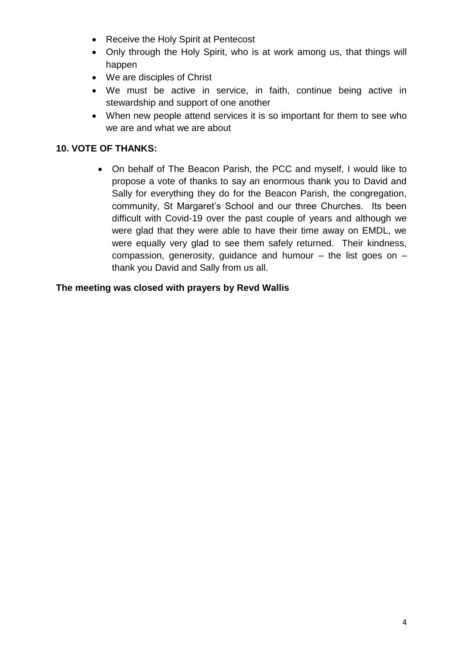- Receive the Holy Spirit at Pentecost
- Only through the Holy Spirit, who is at work among us, that things will happen
- We are disciples of Christ
- We must be active in service, in faith, continue being active in stewardship and support of one another
- When new people attend services it is so important for them to see who we are and what we are about

### **10. VOTE OF THANKS:**

 On behalf of The Beacon Parish, the PCC and myself, I would like to propose a vote of thanks to say an enormous thank you to David and Sally for everything they do for the Beacon Parish, the congregation, community, St Margaret's School and our three Churches. Its been difficult with Covid-19 over the past couple of years and although we were glad that they were able to have their time away on EMDL, we were equally very glad to see them safely returned. Their kindness, compassion, generosity, guidance and humour  $-$  the list goes on  $$ thank you David and Sally from us all.

#### **The meeting was closed with prayers by Revd Wallis**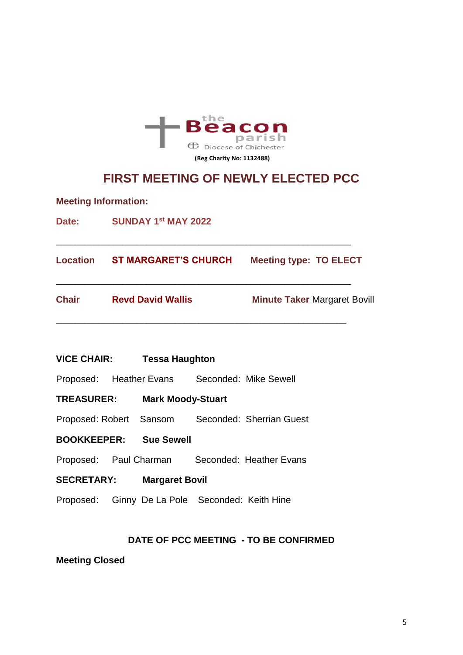

# **FIRST MEETING OF NEWLY ELECTED PCC**

**Meeting Information:** 

Date: **SUNDAY 1<sup>st</sup> MAY 2022** 

| Location     | <b>ST MARGARET'S CHURCH</b> | <b>Meeting type: TO ELECT</b>       |
|--------------|-----------------------------|-------------------------------------|
| <b>Chair</b> | <b>Revd David Wallis</b>    | <b>Minute Taker Margaret Bovill</b> |

\_\_\_\_\_\_\_\_\_\_\_\_\_\_\_\_\_\_\_\_\_\_\_\_\_\_\_\_\_\_\_\_\_\_\_\_\_\_\_\_\_\_\_\_\_\_\_\_\_\_\_\_\_\_\_\_\_\_\_\_\_\_

**VICE CHAIR: Tessa Haughton** 

Proposed: Heather Evans Seconded: Mike Sewell

**TREASURER: Mark Moody-Stuart**

Proposed: Robert Sansom Seconded: Sherrian Guest

**BOOKKEEPER: Sue Sewell**

Proposed: Paul Charman Seconded: Heather Evans

**SECRETARY: Margaret Bovil**

Proposed: Ginny De La Pole Seconded: Keith Hine

#### **DATE OF PCC MEETING - TO BE CONFIRMED**

**Meeting Closed**